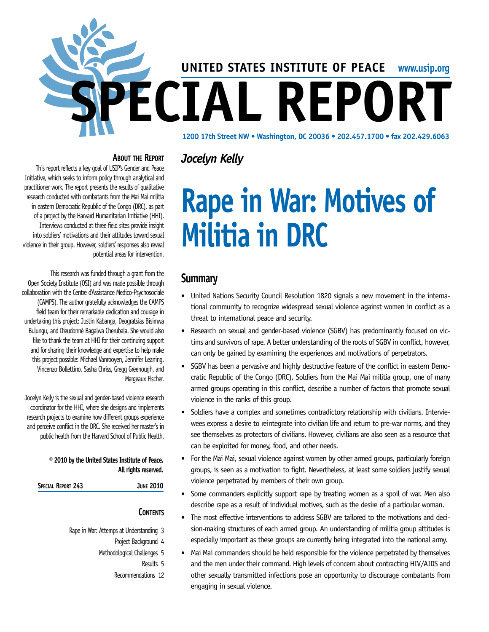

## **ABOUT THE REPORT**

This report reflects a key goal of USIP's Gender and Peace Initiative, which seeks to inform policy through analytical and practitioner work. The report presents the results of qualitative research conducted with combatants from the Mai Mai militia in eastern Democratic Republic of the Congo (DRC), as part of a project by the Harvard Humanitarian Initiative (HHI). Interviews conducted at three field sites provide insight into soldiers' motivations and their attitudes toward sexual violence in their group. However, soldiers' responses also reveal potential areas for intervention.

This research was funded through a grant from the Open Society Institute (OSI) and was made possible through collaboration with the Centre d'Assistance Medico-Psychosociale (CAMPS). The author gratefully acknowledges the CAMPS field team for their remarkable dedication and courage in undertaking this project: Justin Kabanga, Deogratsias Bisimwa Bulungu, and Dieudonné Bagalwa Cherubala. She would also like to thank the team at HHI for their continuing support and for sharing their knowledge and expertise to help make this project possible: Michael Vanrooyen, Jennifer Leaning, Vincenzo Bollettino, Sasha Chriss, Gregg Greenough, and Margeaux Fischer.

Jocelyn Kelly is the sexual and gender-based violence research coordinator for the HHI, where she designs and implements research projects to examine how different groups experience and perceive conflict in the DRC. She received her master's in public health from the Harvard School of Public Health.

#### $\circ$  2010 by the United States Institute of Peace. All rights reserved.

| <b>JUNE 2010</b><br>SPECIAL REPORT 243 |
|----------------------------------------|
|                                        |

### **CONTENTS**

Rape in War: Attemps at Understanding 3 Project Background 4 Methodological Challenges 5 Results 5 Recommendations 12

# **Rape in War: Motives of Militia in DRC**

# **Summary**

*Jocelyn Kelly*

- United Nations Security Council Resolution 1820 signals a new movement in the international community to recognize widespread sexual violence against women in conflict as a threat to international peace and security.
- Research on sexual and gender-based violence (SGBV) has predominantly focused on victims and survivors of rape. A better understanding of the roots of SGBV in conflict, however, can only be gained by examining the experiences and motivations of perpetrators.
- SGBV has been a pervasive and highly destructive feature of the conflict in eastern Democratic Republic of the Congo (DRC). Soldiers from the Mai Mai militia group, one of many armed groups operating in this conflict, describe a number of factors that promote sexual violence in the ranks of this group.
- Soldiers have a complex and sometimes contradictory relationship with civilians. Interviewees express a desire to reintegrate into civilian life and return to pre-war norms, and they see themselves as protectors of civilians. However, civilians are also seen as a resource that can be exploited for money, food, and other needs.
- For the Mai Mai, sexual violence against women by other armed groups, particularly foreign groups, is seen as a motivation to fight. Nevertheless, at least some soldiers justify sexual violence perpetrated by members of their own group.
- Some commanders explicitly support rape by treating women as a spoil of war. Men also describe rape as a result of individual motives, such as the desire of a particular woman.
- The most effective interventions to address SGBV are tailored to the motivations and decision-making structures of each armed group. An understanding of militia group attitudes is especially important as these groups are currently being integrated into the national army.
- Mai Mai commanders should be held responsible for the violence perpetrated by themselves and the men under their command. High levels of concern about contracting HIV/AIDS and other sexually transmitted infections pose an opportunity to discourage combatants from engaging in sexual violence.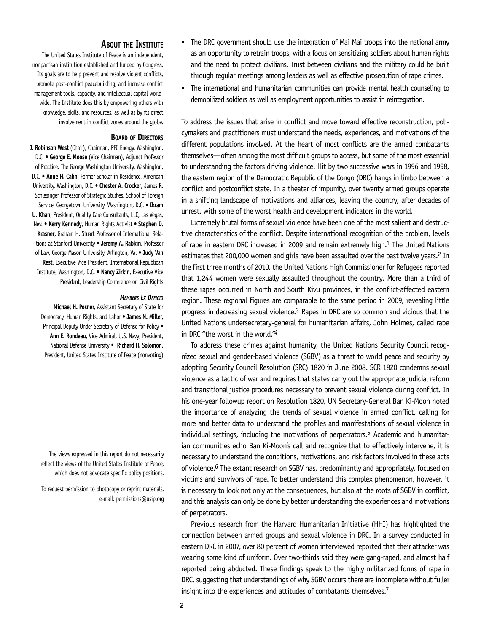#### **ABOUT THE INSTITUTE**

The United States Institute of Peace is an independent, nonpartisan institution established and funded by Congress. Its goals are to help prevent and resolve violent conflicts, promote post-conflict peacebuilding, and increase conflict management tools, capacity, and intellectual capital worldwide. The Institute does this by empowering others with knowledge, skills, and resources, as well as by its direct involvement in conflict zones around the globe.

#### **BOARD OF DIRECTORS**

**J. Robinson West** (Chair), Chairman, PFC Energy, Washington, D.C. • George E. Moose (Vice Chairman), Adjunct Professor of Practice, The George Washington University, Washington, D.C. • Anne H. Cahn, Former Scholar in Residence, American University, Washington, D.C. . Chester A. Crocker, James R. Schlesinger Professor of Strategic Studies, School of Foreign Service, Georgetown University, Washington, D.C. . Ikram **U. Khan**, President, Quality Care Consultants, LLC, Las Vegas, Nev. • Kerry Kennedy, Human Rights Activist • Stephen D. Krasner, Graham H. Stuart Professor of International Relations at Stanford University • Jeremy A. Rabkin, Professor of Law, George Mason University, Arlington, Va. . Judy Van Rest, Executive Vice President, International Republican Institute, Washington, D.C. . Nancy Zirkin, Executive Vice President, Leadership Conference on Civil Rights

#### *MEMBERS EX OFFICIO*

Michael H. Posner, Assistant Secretary of State for Democracy, Human Rights, and Labor . James N. Miller, Principal Deputy Under Secretary of Defense for Policy . Ann E. Rondeau, Vice Admiral, U.S. Navy; President, National Defense University . Richard H. Solomon, President, United States Institute of Peace (nonvoting)

The views expressed in this report do not necessarily reflect the views of the United States Institute of Peace, which does not advocate specific policy positions.

To request permission to photocopy or reprint materials, e-mail: permissions@usip.org

- The DRC government should use the integration of Mai Mai troops into the national army as an opportunity to retrain troops, with a focus on sensitizing soldiers about human rights and the need to protect civilians. Trust between civilians and the military could be built through regular meetings among leaders as well as effective prosecution of rape crimes.
- The international and humanitarian communities can provide mental health counseling to demobilized soldiers as well as employment opportunities to assist in reintegration.

To address the issues that arise in conflict and move toward effective reconstruction, policymakers and practitioners must understand the needs, experiences, and motivations of the different populations involved. At the heart of most conflicts are the armed combatants themselves—often among the most difficult groups to access, but some of the most essential to understanding the factors driving violence. Hit by two successive wars in 1996 and 1998, the eastern region of the Democratic Republic of the Congo (DRC) hangs in limbo between a conflict and postconflict state. In a theater of impunity, over twenty armed groups operate in a shifting landscape of motivations and alliances, leaving the country, after decades of unrest, with some of the worst health and development indicators in the world.

Extremely brutal forms of sexual violence have been one of the most salient and destructive characteristics of the conflict. Despite international recognition of the problem, levels of rape in eastern DRC increased in 2009 and remain extremely high.<sup>1</sup> The United Nations estimates that 200,000 women and girls have been assaulted over the past twelve years.<sup>2</sup> In the first three months of 2010, the United Nations High Commissioner for Refugees reported that 1,244 women were sexually assaulted throughout the country. More than a third of these rapes occurred in North and South Kivu provinces, in the conflict-affected eastern region. These regional figures are comparable to the same period in 2009, revealing little progress in decreasing sexual violence.<sup>3</sup> Rapes in DRC are so common and vicious that the United Nations undersecretary-general for humanitarian affairs, John Holmes, called rape in DRC "the worst in the world." 4

To address these crimes against humanity, the United Nations Security Council recognized sexual and gender-based violence (SGBV) as a threat to world peace and security by adopting Security Council Resolution (SRC) 1820 in June 2008. SCR 1820 condemns sexual violence as a tactic of war and requires that states carry out the appropriate judicial reform and transitional justice procedures necessary to prevent sexual violence during conflict. In his one-year followup report on Resolution 1820, UN Secretary-General Ban Ki-Moon noted the importance of analyzing the trends of sexual violence in armed conflict, calling for more and better data to understand the profiles and manifestations of sexual violence in individual settings, including the motivations of perpetrators. 5 Academic and humanitarian communities echo Ban Ki-Moon's call and recognize that to effectively intervene, it is necessary to understand the conditions, motivations, and risk factors involved in these acts of violence.<sup>6</sup> The extant research on SGBV has, predominantly and appropriately, focused on victims and survivors of rape. To better understand this complex phenomenon, however, it is necessary to look not only at the consequences, but also at the roots of SGBV in conflict, and this analysis can only be done by better understanding the experiences and motivations of perpetrators.

Previous research from the Harvard Humanitarian Initiative (HHI) has highlighted the connection between armed groups and sexual violence in DRC. In a survey conducted in eastern DRC in 2007, over 80 percent of women interviewed reported that their attacker was wearing some kind of uniform. Over two-thirds said they were gang-raped, and almost half reported being abducted. These findings speak to the highly militarized forms of rape in DRC, suggesting that understandings of why SGBV occurs there are incomplete without fuller insight into the experiences and attitudes of combatants themselves.<sup>7</sup>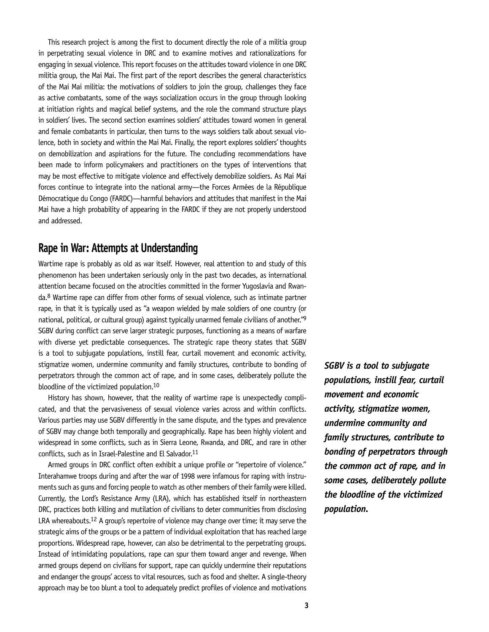This research project is among the first to document directly the role of a militia group in perpetrating sexual violence in DRC and to examine motives and rationalizations for engaging in sexual violence. This report focuses on the attitudes toward violence in one DRC militia group, the Mai Mai. The first part of the report describes the general characteristics of the Mai Mai militia: the motivations of soldiers to join the group, challenges they face as active combatants, some of the ways socialization occurs in the group through looking at initiation rights and magical belief systems, and the role the command structure plays in soldiers' lives. The second section examines soldiers' attitudes toward women in general and female combatants in particular, then turns to the ways soldiers talk about sexual violence, both in society and within the Mai Mai. Finally, the report explores soldiers' thoughts on demobilization and aspirations for the future. The concluding recommendations have been made to inform policymakers and practitioners on the types of interventions that may be most effective to mitigate violence and effectively demobilize soldiers. As Mai Mai forces continue to integrate into the national army—the Forces Armées de la République Démocratique du Congo (FARDC)—harmful behaviors and attitudes that manifest in the Mai Mai have a high probability of appearing in the FARDC if they are not properly understood and addressed.

# **Rape in War: Attempts at Understanding**

Wartime rape is probably as old as war itself. However, real attention to and study of this phenomenon has been undertaken seriously only in the past two decades, as international attention became focused on the atrocities committed in the former Yugoslavia and Rwanda. 8 Wartime rape can differ from other forms of sexual violence, such as intimate partner rape, in that it is typically used as "a weapon wielded by male soldiers of one country (or national, political, or cultural group) against typically unarmed female civilians of another.<sup>"9</sup> SGBV during conflict can serve larger strategic purposes, functioning as a means of warfare with diverse yet predictable consequences. The strategic rape theory states that SGBV is a tool to subjugate populations, instill fear, curtail movement and economic activity, stigmatize women, undermine community and family structures, contribute to bonding of perpetrators through the common act of rape, and in some cases, deliberately pollute the bloodline of the victimized population. 10

History has shown, however, that the reality of wartime rape is unexpectedly complicated, and that the pervasiveness of sexual violence varies across and within conflicts. Various parties may use SGBV differently in the same dispute, and the types and prevalence of SGBV may change both temporally and geographically. Rape has been highly violent and widespread in some conflicts, such as in Sierra Leone, Rwanda, and DRC, and rare in other conflicts, such as in Israel-Palestine and El Salvador. 11

Armed groups in DRC conflict often exhibit a unique profile or "repertoire of violence." Interahamwe troops during and after the war of 1998 were infamous for raping with instruments such as guns and forcing people to watch as other members of their family were killed. Currently, the Lord's Resistance Army (LRA), which has established itself in northeastern DRC, practices both killing and mutilation of civilians to deter communities from disclosing LRA whereabouts.<sup>12</sup> A group's repertoire of violence may change over time; it may serve the strategic aims of the groups or be a pattern of individual exploitation that has reached large proportions. Widespread rape, however, can also be detrimental to the perpetrating groups. Instead of intimidating populations, rape can spur them toward anger and revenge. When armed groups depend on civilians for support, rape can quickly undermine their reputations and endanger the groups' access to vital resources, such as food and shelter. A single-theory approach may be too blunt a tool to adequately predict profiles of violence and motivations

*SGBV is a tool to subjugate populations, instill fear, curtail movement and economic activity, stigmatize women, undermine community and family structures, contribute to bonding of perpetrators through the common act of rape, and in some cases, deliberately pollute the bloodline of the victimized population.*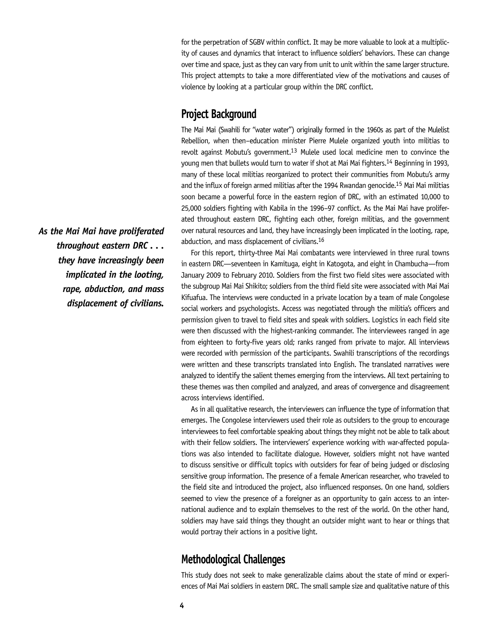for the perpetration of SGBV within conflict. It may be more valuable to look at a multiplicity of causes and dynamics that interact to influence soldiers' behaviors. These can change over time and space, just as they can vary from unit to unit within the same larger structure. This project attempts to take a more differentiated view of the motivations and causes of violence by looking at a particular group within the DRC conflict.

# **Project Background**

The Mai Mai (Swahili for "water water") originally formed in the 1960s as part of the Mulelist Rebellion, when then–education minister Pierre Mulele organized youth into militias to revolt against Mobutu's government.<sup>13</sup> Mulele used local medicine men to convince the young men that bullets would turn to water if shot at Mai Mai fighters.<sup>14</sup> Beginning in 1993, many of these local militias reorganized to protect their communities from Mobutu's army and the influx of foreign armed militias after the 1994 Rwandan genocide.<sup>15</sup> Mai Mai militias soon became a powerful force in the eastern region of DRC, with an estimated 10,000 to 25,000 soldiers fighting with Kabila in the 1996–97 conflict. As the Mai Mai have proliferated throughout eastern DRC, fighting each other, foreign militias, and the government over natural resources and land, they have increasingly been implicated in the looting, rape, abduction, and mass displacement of civilians. 16

For this report, thirty-three Mai Mai combatants were interviewed in three rural towns in eastern DRC—seventeen in Kamituga, eight in Katogota, and eight in Chambucha—from January 2009 to February 2010. Soldiers from the first two field sites were associated with the subgroup Mai Mai Shikito; soldiers from the third field site were associated with Mai Mai Kifuafua. The interviews were conducted in a private location by a team of male Congolese social workers and psychologists. Access was negotiated through the militia's officers and permission given to travel to field sites and speak with soldiers. Logistics in each field site were then discussed with the highest-ranking commander. The interviewees ranged in age from eighteen to forty-five years old; ranks ranged from private to major. All interviews were recorded with permission of the participants. Swahili transcriptions of the recordings were written and these transcripts translated into English. The translated narratives were analyzed to identify the salient themes emerging from the interviews. All text pertaining to these themes was then compiled and analyzed, and areas of convergence and disagreement across interviews identified.

As in all qualitative research, the interviewers can influence the type of information that emerges. The Congolese interviewers used their role as outsiders to the group to encourage interviewees to feel comfortable speaking about things they might not be able to talk about with their fellow soldiers. The interviewers' experience working with war-affected populations was also intended to facilitate dialogue. However, soldiers might not have wanted to discuss sensitive or difficult topics with outsiders for fear of being judged or disclosing sensitive group information. The presence of a female American researcher, who traveled to the field site and introduced the project, also influenced responses. On one hand, soldiers seemed to view the presence of a foreigner as an opportunity to gain access to an international audience and to explain themselves to the rest of the world. On the other hand, soldiers may have said things they thought an outsider might want to hear or things that would portray their actions in a positive light.

# **Methodological Challenges**

This study does not seek to make generalizable claims about the state of mind or experiences of Mai Mai soldiers in eastern DRC. The small sample size and qualitative nature of this

*As the Mai Mai have proliferated throughout eastern DRC . . . they have increasingly been implicated in the looting, rape, abduction, and mass displacement of civilians.*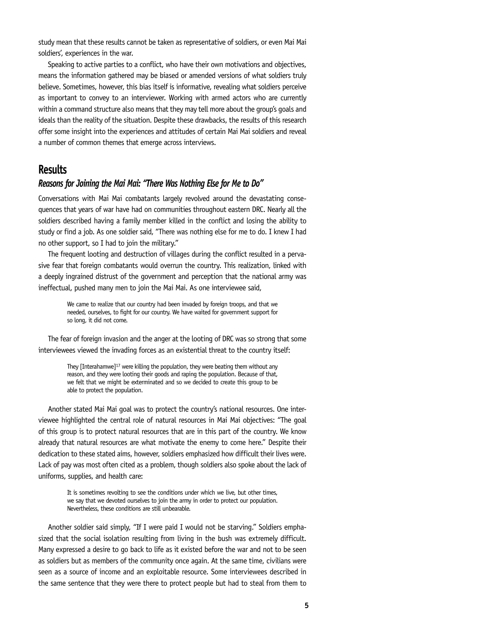study mean that these results cannot be taken as representative of soldiers, or even Mai Mai soldiers', experiences in the war.

Speaking to active parties to a conflict, who have their own motivations and objectives, means the information gathered may be biased or amended versions of what soldiers truly believe. Sometimes, however, this bias itself is informative, revealing what soldiers perceive as important to convey to an interviewer. Working with armed actors who are currently within a command structure also means that they may tell more about the group's goals and ideals than the reality of the situation. Despite these drawbacks, the results of this research offer some insight into the experiences and attitudes of certain Mai Mai soldiers and reveal a number of common themes that emerge across interviews.

## **Results**

#### *Reasons for Joining the Mai Mai: "There Was Nothing Else for Me to Do"*

Conversations with Mai Mai combatants largely revolved around the devastating consequences that years of war have had on communities throughout eastern DRC. Nearly all the soldiers described having a family member killed in the conflict and losing the ability to study or find a job. As one soldier said, "There was nothing else for me to do. I knew I had no other support, so I had to join the military."

The frequent looting and destruction of villages during the conflict resulted in a pervasive fear that foreign combatants would overrun the country. This realization, linked with a deeply ingrained distrust of the government and perception that the national army was ineffectual, pushed many men to join the Mai Mai. As one interviewee said,

> We came to realize that our country had been invaded by foreign troops, and that we needed, ourselves, to fight for our country. We have waited for government support for so long, it did not come.

The fear of foreign invasion and the anger at the looting of DRC was so strong that some interviewees viewed the invading forces as an existential threat to the country itself:

> They [Interahamwe]17 were killing the population, they were beating them without any reason, and they were looting their goods and raping the population. Because of that, we felt that we might be exterminated and so we decided to create this group to be able to protect the population.

Another stated Mai Mai goal was to protect the country's national resources. One interviewee highlighted the central role of natural resources in Mai Mai objectives: "The goal of this group is to protect natural resources that are in this part of the country. We know already that natural resources are what motivate the enemy to come here." Despite their dedication to these stated aims, however, soldiers emphasized how difficult their lives were. Lack of pay was most often cited as a problem, though soldiers also spoke about the lack of uniforms, supplies, and health care:

> It is sometimes revolting to see the conditions under which we live, but other times, we say that we devoted ourselves to join the army in order to protect our population. Nevertheless, these conditions are still unbearable.

Another soldier said simply, "If I were paid I would not be starving." Soldiers emphasized that the social isolation resulting from living in the bush was extremely difficult. Many expressed a desire to go back to life as it existed before the war and not to be seen as soldiers but as members of the community once again. At the same time, civilians were seen as a source of income and an exploitable resource. Some interviewees described in the same sentence that they were there to protect people but had to steal from them to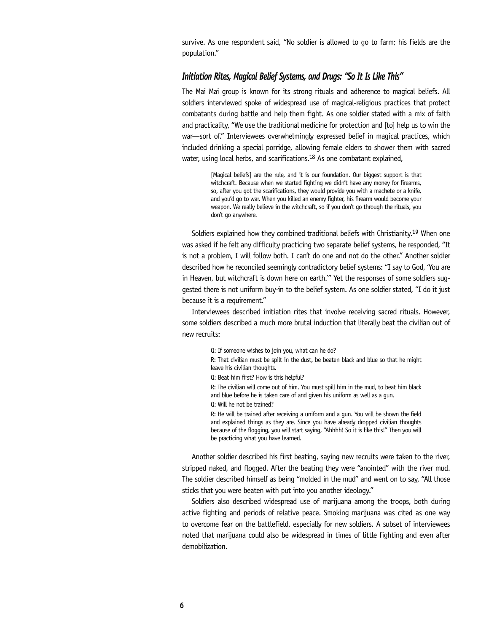survive. As one respondent said, "No soldier is allowed to go to farm; his fields are the population."

# *Initiation Rites, Magical Belief Systems, and Drugs: "So It Is Like This"*

The Mai Mai group is known for its strong rituals and adherence to magical beliefs. All soldiers interviewed spoke of widespread use of magical-religious practices that protect combatants during battle and help them fight. As one soldier stated with a mix of faith and practicality, "We use the traditional medicine for protection and [to] help us to win the war—sort of." Interviewees overwhelmingly expressed belief in magical practices, which included drinking a special porridge, allowing female elders to shower them with sacred water, using local herbs, and scarifications.<sup>18</sup> As one combatant explained,

> [Magical beliefs] are the rule, and it is our foundation. Our biggest support is that witchcraft. Because when we started fighting we didn't have any money for firearms, so, after you got the scarifications, they would provide you with a machete or a knife, and you'd go to war. When you killed an enemy fighter, his firearm would become your weapon. We really believe in the witchcraft, so if you don't go through the rituals, you don't go anywhere.

Soldiers explained how they combined traditional beliefs with Christianity.<sup>19</sup> When one was asked if he felt any difficulty practicing two separate belief systems, he responded, "It is not a problem, I will follow both. I can't do one and not do the other." Another soldier described how he reconciled seemingly contradictory belief systems: "I say to God, 'You are in Heaven, but witchcraft is down here on earth.'" Yet the responses of some soldiers suggested there is not uniform buy-in to the belief system. As one soldier stated, "I do it just because it is a requirement."

Interviewees described initiation rites that involve receiving sacred rituals. However, some soldiers described a much more brutal induction that literally beat the civilian out of new recruits:

Q: If someone wishes to join you, what can he do?

R: That civilian must be spilt in the dust, be beaten black and blue so that he might leave his civilian thoughts.

Q: Beat him first? How is this helpful?

R: The civilian will come out of him. You must spill him in the mud, to beat him black and blue before he is taken care of and given his uniform as well as a gun.

Q: Will he not be trained?

R: He will be trained after receiving a uniform and a gun. You will be shown the field and explained things as they are. Since you have already dropped civilian thoughts because of the flogging, you will start saying, "Ahhhh! So it is like this!" Then you will be practicing what you have learned.

Another soldier described his first beating, saying new recruits were taken to the river, stripped naked, and flogged. After the beating they were "anointed" with the river mud. The soldier described himself as being "molded in the mud" and went on to say, "All those sticks that you were beaten with put into you another ideology."

Soldiers also described widespread use of marijuana among the troops, both during active fighting and periods of relative peace. Smoking marijuana was cited as one way to overcome fear on the battlefield, especially for new soldiers. A subset of interviewees noted that marijuana could also be widespread in times of little fighting and even after demobilization.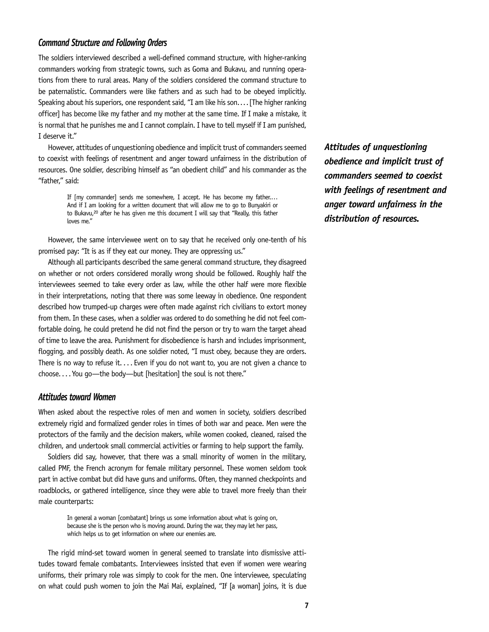## *Command Structure and Following Orders*

The soldiers interviewed described a well-defined command structure, with higher-ranking commanders working from strategic towns, such as Goma and Bukavu, and running operations from there to rural areas. Many of the soldiers considered the command structure to be paternalistic. Commanders were like fathers and as such had to be obeyed implicitly. Speaking about his superiors, one respondent said, "I am like his son.... [The higher ranking officer] has become like my father and my mother at the same time. If I make a mistake, it is normal that he punishes me and I cannot complain. I have to tell myself if I am punished, I deserve it."

However, attitudes of unquestioning obedience and implicit trust of commanders seemed to coexist with feelings of resentment and anger toward unfairness in the distribution of resources. One soldier, describing himself as "an obedient child" and his commander as the "father," said:

> If [my commander] sends me somewhere, I accept. He has become my father.… And if I am looking for a written document that will allow me to go to Bunyakiri or to Bukavu,<sup>20</sup> after he has given me this document I will say that "Really, this father loves me."

However, the same interviewee went on to say that he received only one-tenth of his promised pay: "It is as if they eat our money. They are oppressing us."

Although all participants described the same general command structure, they disagreed on whether or not orders considered morally wrong should be followed. Roughly half the interviewees seemed to take every order as law, while the other half were more flexible in their interpretations, noting that there was some leeway in obedience. One respondent described how trumped-up charges were often made against rich civilians to extort money from them.In these cases, when a soldier was ordered to do something he did not feel comfortable doing, he could pretend he did not find the person or try to warn the target ahead of time to leave the area. Punishment for disobedience is harsh and includes imprisonment, flogging, and possibly death. As one soldier noted, "I must obey, because they are orders. There is no way to refuse it.... Even if you do not want to, you are not given a chance to choose.... You go—the body—but [hesitation] the soul is not there."

### *Attitudes toward Women*

When asked about the respective roles of men and women in society, soldiers described extremely rigid and formalized gender roles in times of both war and peace. Men were the protectors of the family and the decision makers, while women cooked, cleaned, raised the children, and undertook small commercial activities or farming to help support the family.

Soldiers did say, however, that there was a small minority of women in the military, called PMF, the French acronym for female military personnel. These women seldom took part in active combat but did have guns and uniforms. Often, they manned checkpoints and roadblocks, or gathered intelligence, since they were able to travel more freely than their male counterparts:

> In general a woman [combatant] brings us some information about what is going on, because she is the person who is moving around. During the war, they may let her pass, which helps us to get information on where our enemies are.

The rigid mind-set toward women in general seemed to translate into dismissive attitudes toward female combatants. Interviewees insisted that even if women were wearing uniforms, their primary role was simply to cook for the men. One interviewee, speculating on what could push women to join the Mai Mai, explained, "If [a woman] joins, it is due *Attitudes of unquestioning obedience and implicit trust of commanders seemed to coexist with feelings of resentment and anger toward unfairness in the distribution of resources.*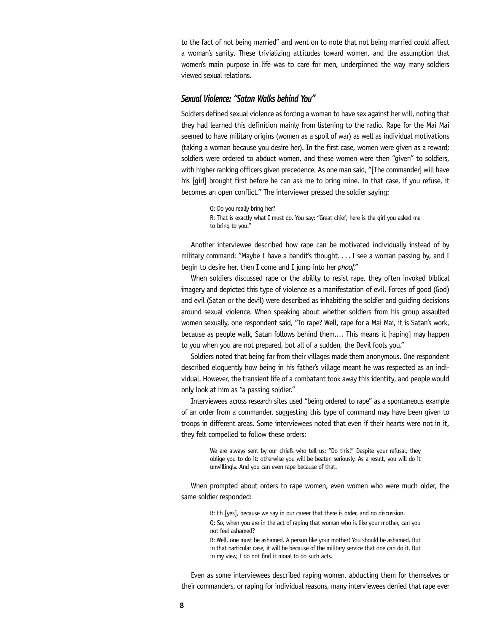to the fact of not being married" and went on to note that not being married could affect a woman's sanity. These trivializing attitudes toward women, and the assumption that women's main purpose in life was to care for men, underpinned the way many soldiers viewed sexual relations.

### *Sexual Violence: "Satan Walks behind You"*

Soldiers defined sexual violence as forcing a woman to have sex against her will, noting that they had learned this definition mainly from listening to the radio. Rape for the Mai Mai seemed to have military origins (women as a spoil of war) as well as individual motivations (taking a woman because you desire her). In the first case, women were given as a reward; soldiers were ordered to abduct women, and these women were then "given" to soldiers, with higher ranking officers given precedence. As one man said, "[The commander] will have his [girl] brought first before he can ask me to bring mine. In that case, if you refuse, it becomes an open conflict." The interviewer pressed the soldier saying:

> Q: Do you really bring her? R: That is exactly what I must do. You say: "Great chief, here is the girl you asked me to bring to you."

Another interviewee described how rape can be motivated individually instead of by military command: "Maybe I have a bandit's thought.... I see a woman passing by, and I begin to desire her, then I come and I jump into her *phoof*."

When soldiers discussed rape or the ability to resist rape, they often invoked biblical imagery and depicted this type of violence as a manifestation of evil. Forces of good (God) and evil (Satan or the devil) were described as inhabiting the soldier and guiding decisions around sexual violence. When speaking about whether soldiers from his group assaulted women sexually, one respondent said, "To rape? Well, rape for a Mai Mai, it is Satan's work, because as people walk, Satan follows behind them.… This means it [raping] may happen to you when you are not prepared, but all of a sudden, the Devil fools you."

Soldiers noted that being far from their villages made them anonymous. One respondent described eloquently how being in his father's village meant he was respected as an individual. However, the transient life of a combatant took away thisidentity, and people would only look at him as "a passing soldier."

Interviewees across research sites used "being ordered to rape" as a spontaneous example of an order from a commander, suggesting this type of command may have been given to troops in different areas. Some interviewees noted that even if their hearts were not in it, they felt compelled to follow these orders:

> We are always sent by our chiefs who tell us: "Do this!" Despite your refusal, they oblige you to do it; otherwise you will be beaten seriously. As a result, you will do it unwillingly. And you can even rape because of that.

When prompted about orders to rape women, even women who were much older, the same soldier responded:

R: Eh [yes], because we say in our career that there is order, and no discussion.

- Q: So, when you are in the act of raping that woman who is like your mother, can you not feel ashamed?
- R: Well, one must be ashamed. A person like your mother! You should be ashamed. But in that particular case, it will be because of the military service that one can do it. But in my view, I do not find it moral to do such acts.

Even as some interviewees described raping women, abducting them for themselves or their commanders, or raping for individual reasons, many interviewees denied that rape ever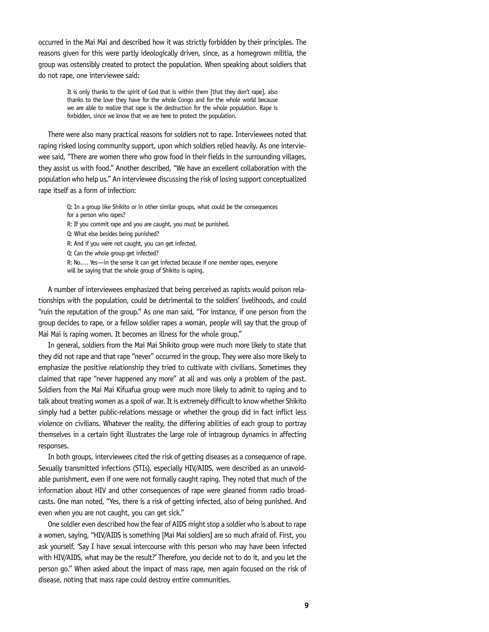occurred in the Mai Mai and described how it was strictly forbidden by their principles. The reasons given for this were partly ideologically driven, since, as a homegrown militia, the group was ostensibly created to protect the population. When speaking about soldiers that do not rape, one interviewee said:

> It is only thanks to the spirit of God that is within them [that they don't rape], also thanks to the love they have for the whole Congo and for the whole world because we are able to realize that rape is the destruction for the whole population. Rape is forbidden, since we know that we are here to protect the population.

There were also many practical reasons for soldiers not to rape. Interviewees noted that raping risked losing community support, upon which soldiers relied heavily. As one interviewee said, "There are women there who grow food in their fields in the surrounding villages, they assist us with food." Another described, "We have an excellent collaboration with the population who help us." An interviewee discussing the risk of losing support conceptualized rape itself as a form of infection:

Q: In a group like Shikito or in other similar groups, what could be the consequences for a person who rapes? R: If you commit rape and you are caught, you must be punished. Q: What else besides being punished? R: And if you were not caught, you can get infected. Q: Can the whole group get infected?

R: No.… Yes—in the sense it can get infected because if one member rapes, everyone will be saying that the whole group of Shikito is raping.

A number of interviewees emphasized that being perceived as rapists would poison relationships with the population, could be detrimental to the soldiers' livelihoods, and could "ruin the reputation of the group." As one man said, "For instance, if one person from the group decides to rape, or a fellow soldier rapes a woman, people will say that the group of Mai Mai is raping women. It becomes an illness for the whole group."

In general, soldiers from the Mai Mai Shikito group were much more likely to state that they did not rape and that rape "never" occurred in the group. They were also more likely to emphasize the positive relationship they tried to cultivate with civilians. Sometimes they claimed that rape "never happened any more" at all and was only a problem of the past. Soldiers from the Mai Mai Kifuafua group were much more likely to admit to raping and to talk about treating women as a spoil of war. It is extremely difficult to know whether Shikito simply had a better public-relations message or whether the group did in fact inflict less violence on civilians. Whatever the reality, the differing abilities of each group to portray themselves in a certain light illustrates the large role of intragroup dynamics in affecting responses.

In both groups, interviewees cited the risk of getting diseases as a consequence of rape. Sexually transmitted infections (STIs), especially HIV/AIDS, were described as an unavoidable punishment, even if one were not formally caught raping. They noted that much of the information about HIV and other consequences of rape were gleaned fromm radio broadcasts. One man noted, "Yes, there is a risk of getting infected, also of being punished. And even when you are not caught, you can get sick."

One soldier even described how the fear of AIDS might stop a soldier who is about to rape a women, saying, "HIV/AIDS is something [Mai Mai soldiers] are so much afraid of. First, you ask yourself, 'Say I have sexual intercourse with this person who may have been infected with HIV/AIDS, what may be the result?' Therefore, you decide not to do it, and you let the person go." When asked about the impact of mass rape, men again focused on the risk of disease, noting that mass rape could destroy entire communities.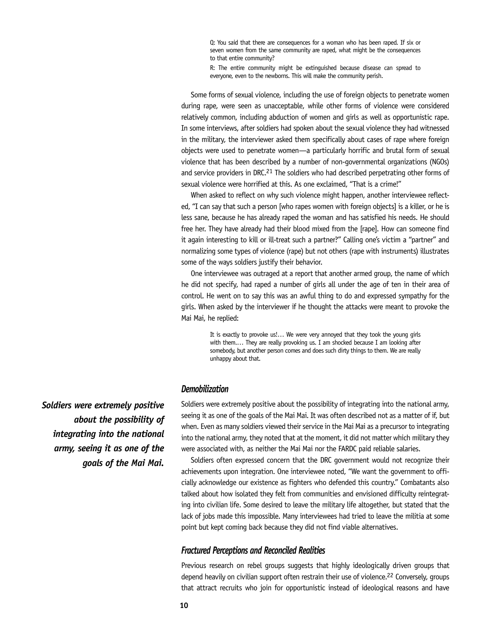Q: You said that there are consequences for a woman who has been raped. If six or seven women from the same community are raped, what might be the consequences to that entire community?

R: The entire community might be extinguished because disease can spread to everyone, even to the newborns. This will make the community perish.

Some forms of sexual violence, including the use of foreign objects to penetrate women during rape, were seen as unacceptable, while other forms of violence were considered relatively common, including abduction of women and girls as well as opportunistic rape. In some interviews, after soldiers had spoken about the sexual violence they had witnessed in the military, the interviewer asked them specifically about cases of rape where foreign objects were used to penetrate women—a particularly horrific and brutal form of sexual violence that has been described by a number of non-governmental organizations (NGOs) and service providers in DRC.<sup>21</sup> The soldiers who had described perpetrating other forms of sexual violence were horrified at this. As one exclaimed, "That is a crime!"

When asked to reflect on why such violence might happen, another interviewee reflected, "I can say that such a person [who rapes women with foreign objects] is a killer, or he is less sane, because he has already raped the woman and has satisfied his needs. He should free her. They have already had their blood mixed from the [rape]. How can someone find it again interesting to kill or ill-treat such a partner?" Calling one's victim a "partner" and normalizing some types of violence (rape) but not others (rape with instruments) illustrates some of the ways soldiers justify their behavior.

One interviewee was outraged at a report that another armed group, the name of which he did not specify, had raped a number of girls all under the age of ten in their area of control. He went on to say this was an awful thing to do and expressed sympathy for the girls. When asked by the interviewer if he thought the attacks were meant to provoke the Mai Mai, he replied:

> It is exactly to provoke us!… We were very annoyed that they took the young girls with them.... They are really provoking us. I am shocked because I am looking after somebody, but another person comes and does such dirty things to them. We are really unhappy about that.

#### *Demobilization*

*Soldiers were extremely positive about the possibility of integrating into the national army, seeing it as one of the goals of the Mai Mai.* 

Soldiers were extremely positive about the possibility of integrating into the national army, seeing it as one of the goals of the Mai Mai. It was often described not as a matter of if, but when. Even as many soldiers viewed their service in the Mai Mai as a precursor to integrating into the national army, they noted that at the moment, it did not matter which military they were associated with, as neither the Mai Mai nor the FARDC paid reliable salaries.

Soldiers often expressed concern that the DRC government would not recognize their achievements upon integration. One interviewee noted, "We want the government to officially acknowledge our existence as fighters who defended this country." Combatants also talked about how isolated they felt from communities and envisioned difficulty reintegrating into civilian life. Some desired to leave the military life altogether, but stated that the lack of jobs made this impossible. Many interviewees had tried to leave the militia at some point but kept coming back because they did not find viable alternatives.

#### *Fractured Perceptions and Reconciled Realities*

Previous research on rebel groups suggests that highly ideologically driven groups that depend heavily on civilian support often restrain their use of violence.<sup>22</sup> Conversely, groups that attract recruits who join for opportunistic instead of ideological reasons and have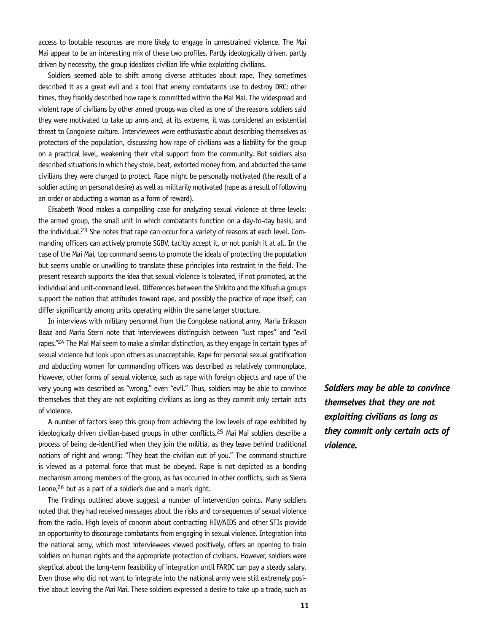access to lootable resources are more likely to engage in unrestrained violence. The Mai Mai appear to be an interesting mix of these two profiles. Partly ideologically driven, partly driven by necessity, the group idealizes civilian life while exploiting civilians.

Soldiers seemed able to shift among diverse attitudes about rape. They sometimes described it as a great evil and a tool that enemy combatants use to destroy DRC; other times, they frankly described how rape is committed within the Mai Mai. The widespread and violent rape of civilians by other armed groups was cited as one of the reasons soldiers said they were motivated to take up arms and, at its extreme, it was considered an existential threat to Congolese culture. Interviewees were enthusiastic about describing themselves as protectors of the population, discussing how rape of civilians was a liability for the group on a practical level, weakening their vital support from the community. But soldiers also described situations in which they stole, beat, extorted money from, and abducted the same civilians they were charged to protect. Rape might be personally motivated (the result of a soldier acting on personal desire) as well as militarily motivated (rape as a result of following an order or abducting a woman as a form of reward).

Elisabeth Wood makes a compelling case for analyzing sexual violence at three levels: the armed group, the small unit in which combatants function on a day-to-day basis, and the individual.<sup>23</sup> She notes that rape can occur for a variety of reasons at each level. Commanding officers can actively promote SGBV, tacitly accept it, or not punish it at all. In the case of the Mai Mai, top command seems to promote the ideals of protecting the population but seems unable or unwilling to translate these principles into restraint in the field. The present research supports the idea that sexual violence is tolerated, if not promoted, at the individual and unit-command level. Differences between the Shikito and the Kifuafua groups support the notion that attitudes toward rape, and possibly the practice of rape itself, can differ significantly among units operating within the same larger structure.

In interviews with military personnel from the Congolese national army, Maria Eriksson Baaz and Maria Stern note that interviewees distinguish between "lust rapes" and "evil rapes."24 The Mai Mai seem to make a similar distinction, as they engage in certain types of sexual violence but look upon others as unacceptable. Rape for personal sexual gratification and abducting women for commanding officers was described as relatively commonplace. However, other forms of sexual violence, such as rape with foreign objects and rape of the very young was described as "wrong," even "evil." Thus, soldiers may be able to convince themselves that they are not exploiting civilians as long as they commit only certain acts of violence.

A number of factors keep this group from achieving the low levels of rape exhibited by ideologically driven civilian-based groups in other conflicts.<sup>25</sup> Mai Mai soldiers describe a process of being de-identified when they join the militia, as they leave behind traditional notions of right and wrong: "They beat the civilian out of you." The command structure is viewed as a paternal force that must be obeyed. Rape is not depicted as a bonding mechanism among members of the group, as has occurred in other conflicts, such as Sierra Leone,<sup>26</sup> but as a part of a soldier's due and a man's right.

The findings outlined above suggest a number of intervention points. Many soldiers noted that they had received messages about the risks and consequences of sexual violence from the radio. High levels of concern about contracting HIV/AIDS and other STIs provide an opportunity to discourage combatants from engaging in sexual violence. Integration into the national army, which most interviewees viewed positively, offers an opening to train soldiers on human rights and the appropriate protection of civilians. However, soldiers were skeptical about the long-term feasibility of integration until FARDC can pay a steady salary. Even those who did not want to integrate into the national army were still extremely positive about leaving the Mai Mai. These soldiers expressed a desire to take up a trade, such as *Soldiers may be able to convince themselves that they are not exploiting civilians as long as they commit only certain acts of violence.*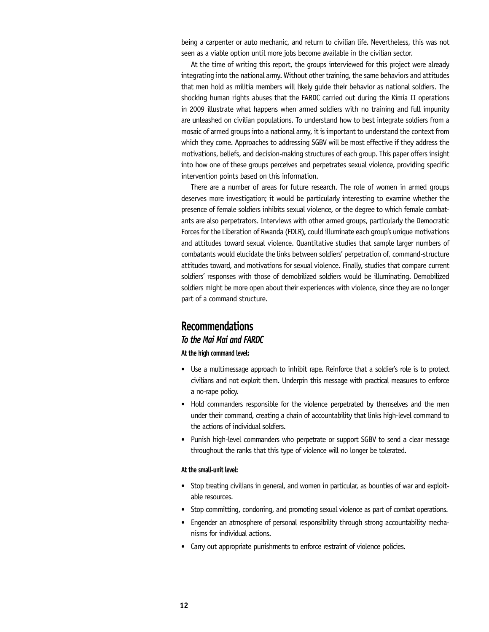being a carpenter or auto mechanic, and return to civilian life. Nevertheless, this was not seen as a viable option until more jobs become available in the civilian sector.

At the time of writing this report, the groups interviewed for this project were already integrating into the national army. Without other training, the same behaviors and attitudes that men hold as militia members will likely guide their behavior as national soldiers. The shocking human rights abuses that the FARDC carried out during the Kimia II operations in 2009 illustrate what happens when armed soldiers with no training and full impunity are unleashed on civilian populations. To understand how to best integrate soldiers from a mosaic of armed groups into a national army, it is important to understand the context from which they come. Approaches to addressing SGBV will be most effective if they address the motivations, beliefs, and decision-making structures of each group. This paper offers insight into how one of these groups perceives and perpetrates sexual violence, providing specific intervention points based on this information.

There are a number of areas for future research. The role of women in armed groups deserves more investigation; it would be particularly interesting to examine whether the presence of female soldiers inhibits sexual violence, or the degree to which female combatants are also perpetrators. Interviews with other armed groups, particularly the Democratic Forces for the Liberation of Rwanda (FDLR), could illuminate each group's unique motivations and attitudes toward sexual violence. Quantitative studies that sample larger numbers of combatants would elucidate the links between soldiers' perpetration of, command-structure attitudes toward, and motivations for sexual violence. Finally, studies that compare current soldiers' responses with those of demobilized soldiers would be illuminating. Demobilized soldiers might be more open about their experiences with violence, since they are no longer part of a command structure.

# **Recommendations**

## *To the Mai Mai and FARDC*

#### **At the high command level:**

- Use a multimessage approach to inhibit rape. Reinforce that a soldier's role is to protect civilians and not exploit them. Underpin this message with practical measures to enforce a no-rape policy.
- Hold commanders responsible for the violence perpetrated by themselves and the men under their command, creating a chain of accountability that links high-level command to the actions of individual soldiers.
- Punish high-level commanders who perpetrate or support SGBV to send a clear message throughout the ranks that this type of violence will no longer be tolerated.

#### **At the small-unit level:**

- Stop treating civilians in general, and women in particular, as bounties of war and exploitable resources.
- Stop committing, condoning, and promoting sexual violence as part of combat operations.
- Engender an atmosphere of personal responsibility through strong accountability mechanisms for individual actions.
- Carry out appropriate punishments to enforce restraint of violence policies.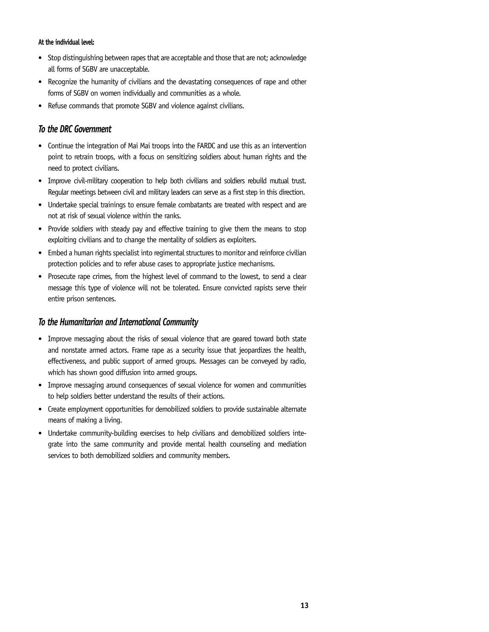#### **At the individual level:**

- Stop distinguishing between rapes that are acceptable and those that are not; acknowledge all forms of SGBV are unacceptable.
- Recognize the humanity of civilians and the devastating consequences of rape and other forms of SGBV on women individually and communities as a whole.
- Refuse commands that promote SGBV and violence against civilians.

# *To the DRC Government*

- Continue the integration of Mai Mai troops into the FARDC and use this as an intervention point to retrain troops, with a focus on sensitizing soldiers about human rights and the need to protect civilians.
- Improve civil-military cooperation to help both civilians and soldiers rebuild mutual trust. Regular meetings between civil and military leaders can serve as a first step in this direction.
- Undertake special trainings to ensure female combatants are treated with respect and are not at risk of sexual violence within the ranks.
- Provide soldiers with steady pay and effective training to give them the means to stop exploiting civilians and to change the mentality of soldiers as exploiters.
- Embed a human rights specialist into regimental structures to monitor and reinforce civilian protection policies and to refer abuse cases to appropriate justice mechanisms.
- Prosecute rape crimes, from the highest level of command to the lowest, to send a clear message this type of violence will not be tolerated. Ensure convicted rapists serve their entire prison sentences.

# *To the Humanitarian and International Community*

- Improve messaging about the risks of sexual violence that are geared toward both state and nonstate armed actors. Frame rape as a security issue that jeopardizes the health, effectiveness, and public support of armed groups. Messages can be conveyed by radio, which has shown good diffusion into armed groups.
- Improve messaging around consequences of sexual violence for women and communities to help soldiers better understand the results of their actions.
- Create employment opportunities for demobilized soldiers to provide sustainable alternate means of making a living.
- Undertake community-building exercises to help civilians and demobilized soldiers integrate into the same community and provide mental health counseling and mediation services to both demobilized soldiers and community members.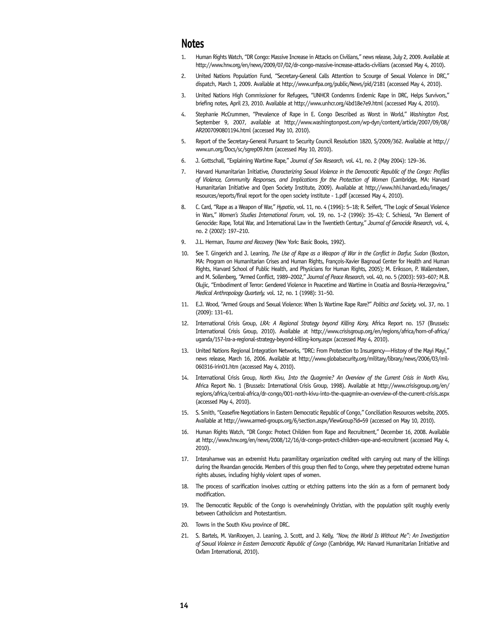## **Notes**

- Human Rights Watch, "DR Congo: Massive Increase in Attacks on Civilians," news release, July 2, 2009. Available at http://www.hrw.org/en/news/2009/07/02/dr-congo-massive-increase-attacks-civilians (accessed May 4, 2010).
- 2. United Nations Population Fund, "Secretary-General Calls Attention to Scourge of Sexual Violence in DRC," dispatch, March 1, 2009. Available at http://www.unfpa.org/public/News/pid/2181 (accessed May 4, 2010).
- 3. United Nations High Commissioner for Refugees, "UNHCR Condemns Endemic Rape in DRC, Helps Survivors," briefing notes, April 23, 2010. Available at http://www.unhcr.org/4bd18e7e9.html (accessed May 4, 2010).
- 4. Stephanie McCrummen, "Prevalence of Rape in E. Congo Described as Worst in World," *Washington Post,*  September 9, 2007, available at http://www.washingtonpost.com/wp-dyn/content/article/2007/09/08/ AR2007090801194.html (accessed May 10, 2010).
- 5. Report of the Secretary-General Pursuant to Security Council Resolution 1820, S/2009/362. Available at http:// www.un.org/Docs/sc/sgrep09.htm (accessed May 10, 2010).
- 6. J. Gottschall, "Explaining Wartime Rape," *Journal of Sex Research,* vol. 41, no. 2 (May 2004): 129–36.
- 7. Harvard Humanitarian Initiative, *Characterizing Sexual Violence in the Democratic Republic of the Congo: Profiles of Violence, Community Responses, and Implications for the Protection of Women* (Cambridge, MA: Harvard Humanitarian Initiative and Open Society Institute, 2009). Available at http://www.hhi.harvard.edu/images/ resources/reports/final report for the open society institute - 1.pdf (accessed May 4, 2010).
- 8. C. Card, "Rape as a Weapon of War," *Hypatia*, vol. 11, no. 4 (1996): 5–18; R. Seifert, "The Logic of Sexual Violence in Wars," *Women's Studies International Forum,* vol. 19, no. 1–2 (1996): 35–43; C. Schiessl, "An Element of Genocide: Rape, Total War, and International Law in the Twentieth Century," *Journal of Genocide Research,* vol. 4, no. 2 (2002): 197–210.
- 9. J.L. Herman, *Trauma and Recovery* (New York: Basic Books, 1992).
- 10. See T. Gingerich and J. Leaning, *The Use of Rape as a Weapon of War in the Conflict in Darfur, Sudan* (Boston, MA: Program on Humanitarian Crises and Human Rights, François-Xavier Bagnoud Center for Health and Human Rights, Harvard School of Public Health, and Physicians for Human Rights, 2005); M. Eriksson, P. Wallensteen, and M. Sollenberg, "Armed Conflict, 1989–2002," *Journal of Peace Research,* vol. 40, no. 5 (2003): 593–607; M.B. Olujic, "Embodiment of Terror: Gendered Violence in Peacetime and Wartime in Croatia and Bosnia-Herzegovina," *Medical Anthropology Quarterly,* vol. 12, no. 1 (1998): 31–50.
- 11. E.J. Wood, "Armed Groups and Sexual Violence: When Is Wartime Rape Rare?" *Politics and Society,* vol. 37, no. 1 (2009): 131–61.
- 12. International Crisis Group, *LRA: A Regional Strategy beyond Killing Kony,* Africa Report no. 157 (Brussels: International Crisis Group, 2010). Available at http://www.crisisgroup.org/en/regions/africa/horn-of-africa/ uganda/157-lra-a-regional-strategy-beyond-killing-kony.aspx (accessed May 4, 2010).
- 13. United Nations Regional Integration Networks, "DRC: From Protection to Insurgency—History of the Mayi Mayi," news release, March 16, 2006. Available at http://www.globalsecurity.org/military/library/news/2006/03/mil-060316-irin01.htm (accessed May 4, 2010).
- 14. International Crisis Group, *North Kivu, Into the Quagmire? An Overview of the Current Crisis in North Kivu,* Africa Report No. 1 (Brussels: International Crisis Group, 1998). Available at http://www.crisisgroup.org/en/ regions/africa/central-africa/dr-congo/001-north-kivu-into-the-quagmire-an-overview-of-the-current-crisis.aspx (accessed May 4, 2010).
- 15. S. Smith, "Ceasefire Negotiations in Eastern Democratic Republic of Congo," Conciliation Resources website, 2005. Available at http://www.armed-groups.org/6/section.aspx/ViewGroup?id=59 (accessed on May 10, 2010).
- 16. Human Rights Watch, "DR Congo: Protect Children from Rape and Recruitment," December 16, 2008. Available at http://www.hrw.org/en/news/2008/12/16/dr-congo-protect-children-rape-and-recruitment (accessed May 4, 2010).
- 17. Interahamwe was an extremist Hutu paramilitary organization credited with carrying out many of the killings during the Rwandan genocide. Members of this group then fled to Congo, where they perpetrated extreme human rights abuses, including highly violent rapes of women.
- 18. The process of scarification involves cutting or etching patterns into the skin as a form of permanent body modification.
- 19. The Democratic Republic of the Congo is overwhelmingly Christian, with the population split roughly evenly between Catholicism and Protestantism.
- 20. Towns in the South Kivu province of DRC.
- 21. S. Bartels, M. VanRooyen, J. Leaning, J. Scott, and J. Kelly, *"Now, the World Is Without Me": An Investigation of Sexual Violence in Eastern Democratic Republic of Congo* (Cambridge, MA: Harvard Humanitarian Initiative and Oxfam International, 2010).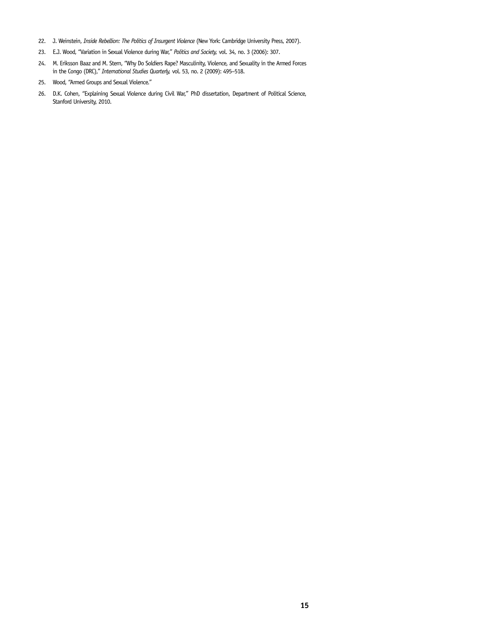- 22. J. Weinstein, *Inside Rebellion: The Politics of Insurgent Violence* (New York: Cambridge University Press, 2007).
- 23. E.J. Wood, "Variation in Sexual Violence during War," *Politics and Society,* vol. 34, no. 3 (2006): 307.
- 24. M. Eriksson Baaz and M. Stern, "Why Do Soldiers Rape? Masculinity, Violence, and Sexuality in the Armed Forces in the Congo (DRC)," *International Studies Quarterly,* vol. 53, no. 2 (2009): 495–518.
- 25. Wood, "Armed Groups and Sexual Violence."
- 26. D.K. Cohen, "Explaining Sexual Violence during Civil War," PhD dissertation, Department of Political Science, Stanford University, 2010.